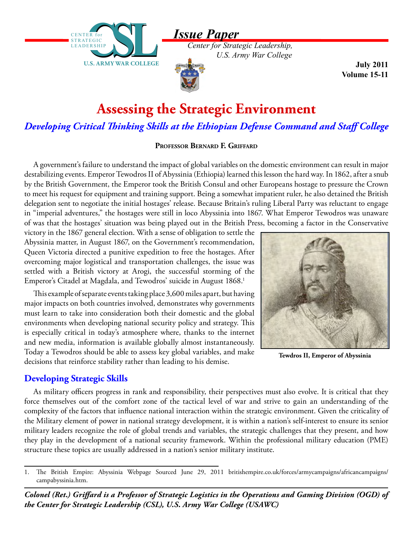*Issue Paper*



*Center for Strategic Leadership, U.S. Army War College*

**July 2011 Volume 15-11**

# **Assessing the Strategic Environment**

*Developing Critical Thinking Skills at the Ethiopian Defense Command and Staff College*

#### **Professor Bernard F. Griffard**

A government's failure to understand the impact of global variables on the domestic environment can result in major destabilizing events. Emperor Tewodros II of Abyssinia (Ethiopia) learned this lesson the hard way. In 1862, after a snub by the British Government, the Emperor took the British Consul and other Europeans hostage to pressure the Crown to meet his request for equipment and training support. Being a somewhat impatient ruler, he also detained the British delegation sent to negotiate the initial hostages' release. Because Britain's ruling Liberal Party was reluctant to engage in "imperial adventures," the hostages were still in loco Abyssinia into 1867. What Emperor Tewodros was unaware of was that the hostages' situation was being played out in the British Press, becoming a factor in the Conservative

victory in the 1867 general election. With a sense of obligation to settle the Abyssinia matter, in August 1867, on the Government's recommendation, Queen Victoria directed a punitive expedition to free the hostages. After overcoming major logistical and transportation challenges, the issue was settled with a British victory at Arogi, the successful storming of the Emperor's Citadel at Magdala, and Tewodros' suicide in August 1868.<sup>1</sup>

This example of separate events taking place 3,600 miles apart, but having major impacts on both countries involved, demonstrates why governments must learn to take into consideration both their domestic and the global environments when developing national security policy and strategy. This is especially critical in today's atmosphere where, thanks to the internet and new media, information is available globally almost instantaneously. Today a Tewodros should be able to assess key global variables, and make decisions that reinforce stability rather than leading to his demise.



**Tewdros II, Emperor of Abyssinia**

## **Developing Strategic Skills**

As military officers progress in rank and responsibility, their perspectives must also evolve. It is critical that they force themselves out of the comfort zone of the tactical level of war and strive to gain an understanding of the complexity of the factors that influence national interaction within the strategic environment. Given the criticality of the Military element of power in national strategy development, it is within a nation's self-interest to ensure its senior military leaders recognize the role of global trends and variables, the strategic challenges that they present, and how they play in the development of a national security framework. Within the professional military education (PME) structure these topics are usually addressed in a nation's senior military institute.

*Colonel (Ret.) Griffard is a Professor of Strategic Logistics in the Operations and Gaming Division (OGD) of the Center for Strategic Leadership (CSL), U.S. Army War College (USAWC)*

<sup>1.</sup> The British Empire: Abyssinia Webpage Sourced June 29, 2011 britishempire.co.uk/forces/armycampaigns/africancampaigns/ campabyssinia.htm.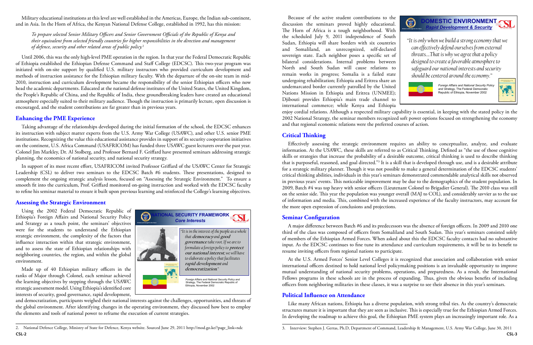Because of the active student contributions to the **OMESTIC ENVIRONMENT**  $\bigcirc$ discussion the seminars proved highly educational. *Rapid Development & Security* The Horn of Africa is a tough neighborhood. With **Wisdom and Strength for the Future**  the scheduled July 9, 2011 independence of South *"It is only when we build a strong economy that we*  Sudan, Ethiopia will share borders with six countries *can effectively defend ourselves from external*  and Somaliland, an unrecognized, self-declared *threats….That is why we agree that a policy*  sovereign state. Each neighbor poses a specific set of *designed to create a favorable atmosphere to*  bilateral considerations. Internal problems between *safeguard our national interests and security*  North and South Sudan will cause relations to remain works in progress; Somalia is a failed state *should be centered around the economy."* undergoing rehabilitation; Ethiopia and Eritrea share an *Foreign Affairs and National Security Policy*  undemarcated border currently patrolled by the United *and Strategy*, The Federal Democratic Nations Mission in Ethiopia and Eritrea (UNMEE); Republic of Ethiopia, November 2002 Djibouti provides Ethiopia's main trade channel to international commerce; while Kenya and Ethiopia enjoy cordial relations. Although a respected military capability is essential, in keeping with the stated policy in the 2002 National Strategy, the seminar members recognized soft power options focused on strengthening the economy and that regional economic relations were the preferred courses of action.

## **Critical Thinking**

Effectively assessing the strategic environment requires an ability to conceptualize, analyze, and evaluate information. At the USAWC, these skills are referred to as Critical Thinking. Defined as "the use of those cognitive skills or strategies that increase the probability of a desirable outcome, critical thinking is used to describe thinking that is purposeful, reasoned, and goal directed."<sup>3</sup> It is a skill that is developed through use, and is a desirable attribute for a strategic military planner. Though it was not possible to make a general determination of the EDCSC students' critical thinking abilities, individuals in this year's seminars demonstrated commendable analytical skills not observed in previous years' events. This noticeable improvement may be due to the demographics of the student population. In 2009, Batch #4 was top heavy with senior officers (Lieutenant Colonel to Brigadier General). The 2010 class was still on the senior side. This year the population was younger overall (MAJ to COL), and considerably savvier as to the use of information and media. This, combined with the increased experience of the faculty instructors, may account for the more open expression of conclusions and projections.

## **Seminar Configuration**

A major difference between Batch #6 and its predecessors was the absence of foreign officers. In 2009 and 2010 one third of the class was composed of officers from Somaliland and South Sudan. This year's seminars consisted solely of members of the Ethiopian Armed Forces. When asked about this the EDCSC faculty contacts had no substantive input. As the EDCSC continues to fine tune its attendance and curriculum requirements, it will be to its benefit to resume inviting officers from regional nations to participate.

At the U.S. Armed Forces' Senior Level Colleges it is recognized that association and collaboration with senior international officers destined to hold national level policymaking positions is an invaluable opportunity to improve mutual understanding of national security problems, operations, and preparedness. As a result, the International Fellows programs in these schools are in the process of expanding. Thus, given the obvious benefits of including officers from neighboring militaries in these classes, it was a surprise to see their absence in this year's seminars.

# **Political Influence on Attendance**

Like many African nations, Ethiopia has a diverse population, with strong tribal ties. As the country's democratic structures mature it is important that they are seen as inclusive. This is especially true for the Ethiopian Armed Forces. In developing the roadmap to achieve this goal, the Ethiopian PME system plays an increasingly important role. As a



Military educational institutions at this level are well established in the Americas, Europe, the Indian sub-continent, and in Asia. In the Horn of Africa, the Kenyan National Defense College, established in 1992, has this mission:

*To prepare selected Senior Military Officers and Senior Government Officials of the Republic of Kenya and their equivalent from selected friendly countries for higher responsibilities in the direction and management of defence, security and other related areas of public policy.*<sup>2</sup>

Until 2006, this was the only high-level PME operation in the region. In that year the Federal Democratic Republic of Ethiopia established the Ethiopian Defense Command and Staff College (EDCSC). This two-year program was initiated with on-site support by qualified U.S. military instructors who provided curriculum development and methods of instruction assistance for the Ethiopian military faculty. With the departure of the on-site team in mid-2010, instruction and curriculum development became the responsibility of the senior Ethiopian officers who now head the academic departments. Educated at the national defense institutes of the United States, the United Kingdom, the People's Republic of China, and the Republic of India, these groundbreaking leaders have created an educational atmosphere especially suited to their military audience. Though the instruction is primarily lecture, open discussion is encouraged, and the student contributions are far greater than in previous years.

## **Enhancing the PME Experience**

Taking advantage of the relationships developed during the initial formation of the school, the EDCSC enhances its instruction with subject matter experts from the U.S. Army War College (USAWC), and other U.S. senior PME institutions. Recognizing the value this educational assistance provides in support of its security cooperation initiatives on the continent, U.S. Africa Command (USAFRICOM) has funded three USAWC guest lecturers over the past year. Colonel Jim Markley, Dr. Al Stolberg, and Professor Bernard F. Griffard have presented seminars addressing strategic planning, the economics of national security, and national security strategy.

In support of its most recent effort, USAFRICOM invited Professor Griffard of the USAWC Center for Strategic Leadership (CSL) to deliver two seminars to the EDCSC Batch #6 students. These presentations, designed to complement the ongoing strategic analysis lesson, focused on "Assessing the Strategic Environment." To ensure a smooth fit into the curriculum, Prof. Griffard monitored on-going instruction and worked with the EDCSC faculty to refine his seminar material to ensure it built upon previous learning and reinforced the College's learning objectives.

#### **Assessing the Strategic Environment**

Using the 2002 Federal Democratic Republic of Ethiopia's Foreign Affairs and National Security Policy and Strategy as a touch point, the seminars' objectives were for the students to understand the Ethiopian strategic environment, the complexity of the factors that influence interaction within that strategic environment, and to assess the state of Ethiopian relationships with neighboring countries, the region, and within the global environment.

Made up of 40 Ethiopian military officers in the ranks of Major through Colonel, each seminar achieved the learning objectives by stepping through the USAWC strategic assessment model. Using Ethiopia's identified core interests of security, good governance, rapid development,

and democratization, participants weighed their national interests against the challenges, opportunities, and threats of the global environment. After identifying changes in the operating environment, they discussed how best to employ the elements and tools of national power to reframe the execution of current strategies.



<sup>3.</sup> Interview: Stephen J. Gerras, Ph.D, Department of Command, Leadership & Management, U.S. Army War College, June 30, 2011

**CSL-2 CSL-3** 2. National Defence College, Ministry of State for Defence, Kenya website. Sourced June 29, 2011 http://mod.go.ke/?page\_link=ndc